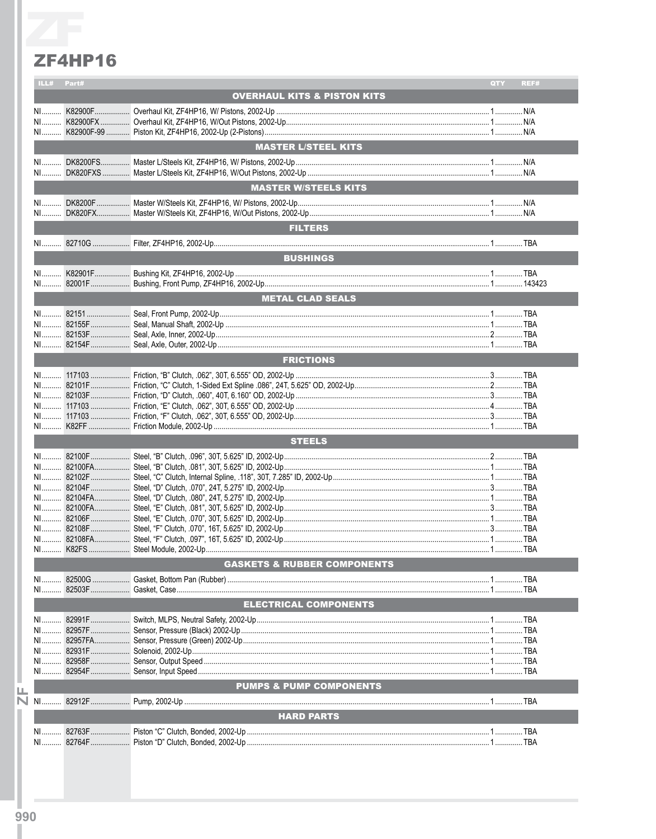## **ZF4HP16**

| ILL#           | Part#  |                                        | REF#<br>QTY |
|----------------|--------|----------------------------------------|-------------|
|                |        | <b>OVERHAUL KITS &amp; PISTON KITS</b> |             |
| $N1$           |        |                                        |             |
|                |        |                                        |             |
|                |        |                                        |             |
|                |        |                                        |             |
|                |        | <b>MASTER L/STEEL KITS</b>             |             |
|                |        |                                        |             |
|                |        |                                        |             |
|                |        | <b>MASTER W/STEELS KITS</b>            |             |
|                |        |                                        |             |
|                |        |                                        |             |
|                |        |                                        |             |
|                |        | <b>FILTERS</b>                         |             |
|                |        |                                        |             |
|                |        | <b>BUSHINGS</b>                        |             |
|                |        |                                        |             |
|                |        |                                        |             |
|                |        |                                        |             |
|                |        | <b>METAL CLAD SEALS</b>                |             |
|                |        |                                        |             |
|                |        |                                        |             |
|                |        |                                        |             |
|                |        |                                        |             |
|                |        | <b>FRICTIONS</b>                       |             |
|                |        |                                        |             |
|                |        |                                        |             |
|                |        |                                        |             |
|                |        |                                        |             |
| NI             |        |                                        |             |
|                |        |                                        |             |
|                |        |                                        |             |
|                |        | <b>STEELS</b>                          |             |
|                |        |                                        |             |
|                |        |                                        |             |
|                |        |                                        |             |
|                |        |                                        |             |
|                |        |                                        |             |
|                |        |                                        |             |
|                |        |                                        |             |
|                |        |                                        |             |
|                |        |                                        |             |
|                |        |                                        |             |
|                |        | <b>GASKETS &amp; RUBBER COMPONENTS</b> |             |
| NI             |        |                                        |             |
| NI             |        |                                        |             |
|                |        | <b>ELECTRICAL COMPONENTS</b>           |             |
|                |        |                                        |             |
| N <sub>1</sub> |        |                                        |             |
| NI             | 82957F |                                        |             |
| NI             |        |                                        |             |
| NI             |        |                                        |             |
|                |        |                                        |             |
|                |        |                                        |             |
|                |        | <b>PUMPS &amp; PUMP COMPONENTS</b>     |             |
| $N1$           |        |                                        |             |
|                |        | <b>HARD PARTS</b>                      |             |
|                |        |                                        |             |
|                |        |                                        |             |
|                |        |                                        |             |